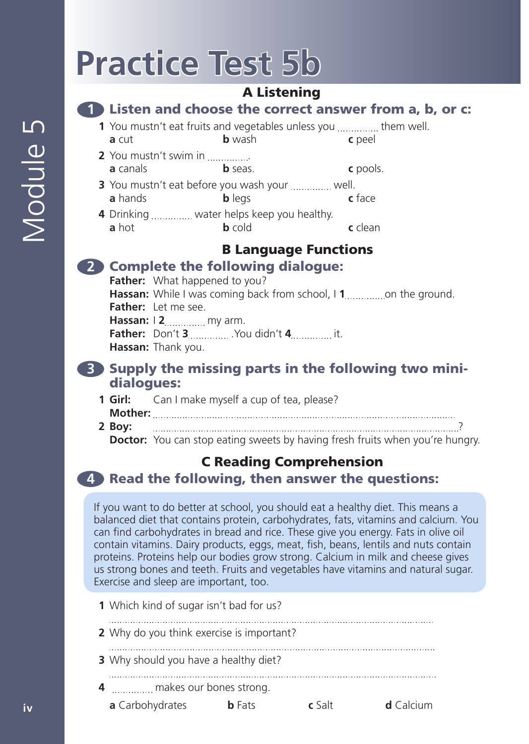# **Practice Test 5b**

# A Listening

### **1** Listen and choose the correct answer from a, b, or c:

- **1** You mustn't eat fruits and vegetables unless you ............... them well. **a** cut **b** wash **c** peel
- **2** You mustn't swim in ............... **a** canals **b** seas. **c** pools.
- **3** You mustn't eat before you wash your ............... well. **a** hands **b** legs **c** face
- **4** Drinking water helps keep you healthy. **a** hot **b** cold **c** clean

# B Language Functions

# **2** Complete the following dialogue:

Father: What happened to you? **Hassan:** While I was coming back from school, I **1** on the ground. **Father:** Let me see. **Hassan:** | 2................ my arm. **Father:** Don't **3** .You didn't **4** it. **Hassan:** Thank you.

### **3** Supply the missing parts in the following two minidialogues:

- **1 Girl:** Can I make myself a cup of tea, please? **Mother: 2 Boy:** ?
	- **Doctor:** You can stop eating sweets by having fresh fruits when you're hungry.

# C Reading Comprehension

# **4** Read the following, then answer the questions:

If you want to do better at school, you should eat a healthy diet. This means a balanced diet that contains protein, carbohydrates, fats, vitamins and calcium. You can find carbohydrates in bread and rice. These give you energy. Fats in olive oil contain vitamins. Dairy products, eggs, meat, fish, beans, lentils and nuts contain proteins. Proteins help our bodies grow strong. Calcium in milk and cheese gives us strong bones and teeth. Fruits and vegetables have vitamins and natural sugar. Exercise and sleep are important, too.

- **1** Which kind of sugar isn't bad for us?
- **2** Why do you think exercise is important?
- 
- **3** Why should you have a healthy diet?

- **4** makes our bones strong.
	- **a** Carbohydrates **b** Fats **c** Salt **d** Calcium